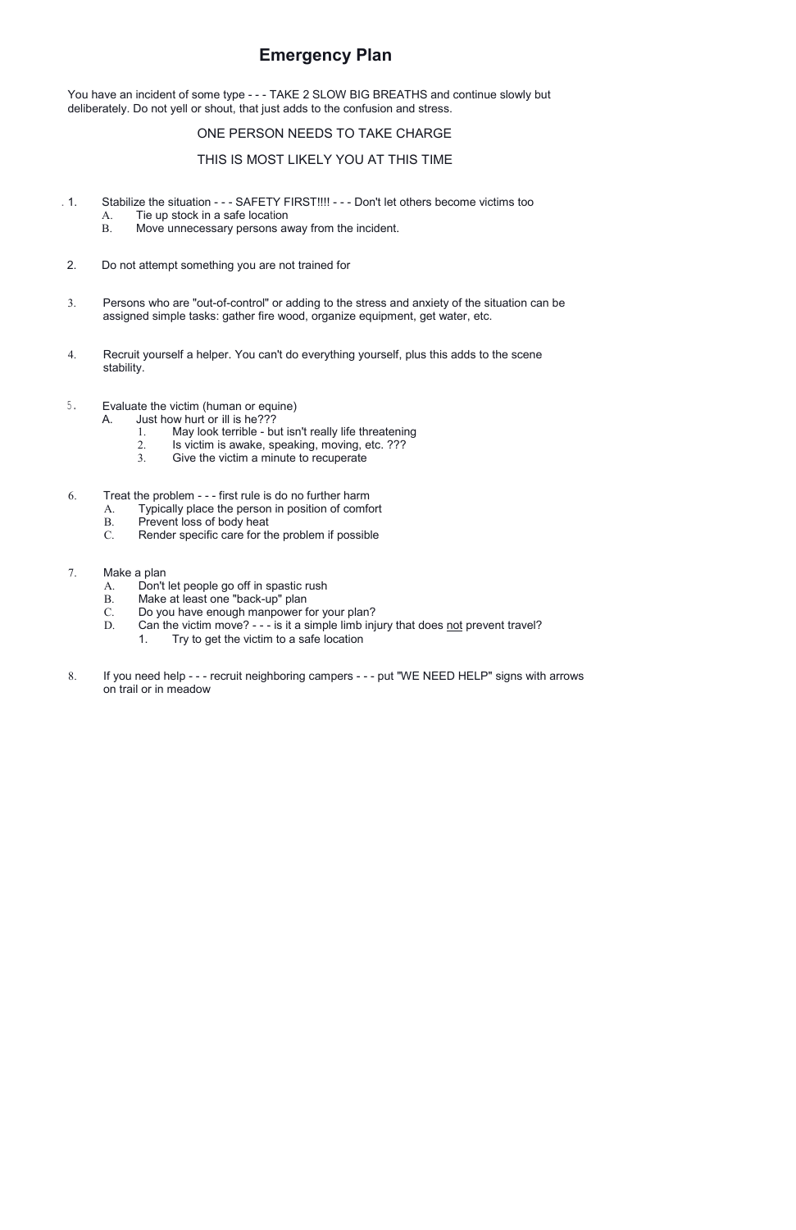## **Emergency Plan**

You have an incident of some type - - - TAKE 2 SLOW BIG BREATHS and continue slowly but deliberately. Do not yell or shout, that just adds to the confusion and stress.

## ONE PERSON NEEDS TO TAKE CHARGE

## THIS IS MOST LIKELY YOU AT THIS TIME

- . 1. Stabilize the situation - SAFETY FIRST!!!! - Don't let others become victims too
	- A. Tie up stock in a safe location
	- B. Move unnecessary persons away from the incident.
- 2. Do not attempt something you are not trained for
- 3. Persons who are "out-of-control" or adding to the stress and anxiety of the situation can be assigned simple tasks: gather fire wood, organize equipment, get water, etc.
- 4. Recruit yourself a helper. You can't do everything yourself, plus this adds to the scene stability.
- 5. Evaluate the victim (human or equine)
	- A. Just how hurt or ill is he???
		- 1. May look terrible but isn't really life threatening<br>2. Is victim is awake, speaking, moving, etc. ???
		- 2. Is victim is awake, speaking, moving, etc. ???<br>3. Give the victim a minute to recuperate
		- Give the victim a minute to recuperate
- 6. Treat the problem - first rule is do no further harm
	- A. Typically place the person in position of comfort
	-
	- B. Prevent loss of body heat<br>C. Render specific care for the Render specific care for the problem if possible
- 7. Make a plan
	- A. Don't let people go off in spastic rush
	- B. Make at least one "back-up" plan
	- C. Do you have enough manpower for your plan?
	- D. Can the victim move? - is it a simple limb injury that does not prevent travel?
		- 1. Try to get the victim to a safe location
- 8. If you need help - recruit neighboring campers - put "WE NEED HELP" signs with arrows on trail or in meadow